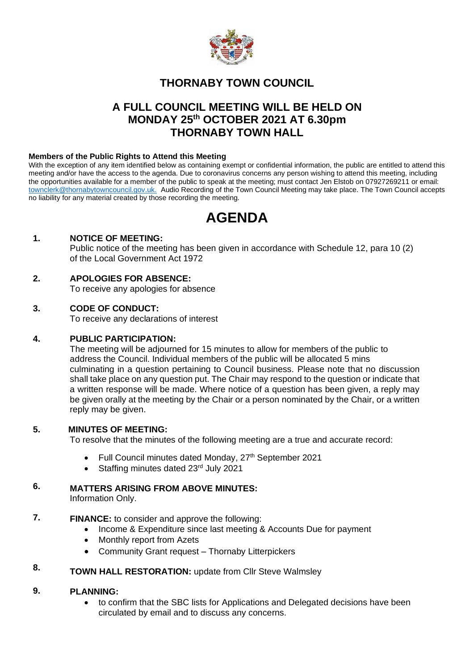

# **THORNABY TOWN COUNCIL**

# **A FULL COUNCIL MEETING WILL BE HELD ON MONDAY 25th OCTOBER 2021 AT 6.30pm THORNABY TOWN HALL**

### **Members of the Public Rights to Attend this Meeting**

With the exception of any item identified below as containing exempt or confidential information, the public are entitled to attend this meeting and/or have the access to the agenda. Due to coronavirus concerns any person wishing to attend this meeting, including the opportunities available for a member of the public to speak at the meeting; must contact Jen Elstob on 07927269211 or email: [townclerk@thornabytowncouncil.gov.uk.](about:blank) Audio Recording of the Town Council Meeting may take place. The Town Council accepts no liability for any material created by those recording the meeting.

# **AGENDA**

## **1. NOTICE OF MEETING:**

Public notice of the meeting has been given in accordance with Schedule 12, para 10 (2) of the Local Government Act 1972

## **2. APOLOGIES FOR ABSENCE:**

To receive any apologies for absence

## **3. CODE OF CONDUCT:**

To receive any declarations of interest

#### **4. PUBLIC PARTICIPATION:**

The meeting will be adjourned for 15 minutes to allow for members of the public to address the Council. Individual members of the public will be allocated 5 mins culminating in a question pertaining to Council business. Please note that no discussion shall take place on any question put. The Chair may respond to the question or indicate that a written response will be made. Where notice of a question has been given, a reply may be given orally at the meeting by the Chair or a person nominated by the Chair, or a written reply may be given.

#### **5. MINUTES OF MEETING:**

To resolve that the minutes of the following meeting are a true and accurate record:

- Full Council minutes dated Monday, 27<sup>th</sup> September 2021
- Staffing minutes dated 23<sup>rd</sup> July 2021

#### **6. MATTERS ARISING FROM ABOVE MINUTES:**

Information Only.

- **7. FINANCE:** to consider and approve the following:
	- Income & Expenditure since last meeting & Accounts Due for payment
	- Monthly report from Azets
	- Community Grant request Thornaby Litterpickers

#### **8. TOWN HALL RESTORATION: update from Cllr Steve Walmsley**

#### **9. PLANNING:**

• to confirm that the SBC lists for Applications and Delegated decisions have been circulated by email and to discuss any concerns.